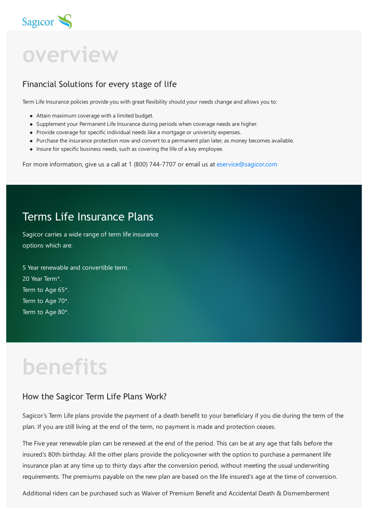

**overview**

### Financial Solutions for every stage of life

Term Life Insurance policies provide you with great flexibility should your needs change and allows you to:

- Attain maximum coverage with a limited budget.
- Supplement your Permanent Life Insurance during periods when coverage needs are higher.
- Provide coverage for specific individual needs like a mortgage or university expenses.
- Purchase the insurance protection now and convert to a permanent plan later, as money becomes available.
- Insure for specific business needs, such as covering the life of a key employee.

For more information, give us a call at 1 (800) 744-7707 or email us at [eservice@sagicor.com](mailto:eservice@sagicor.com?subject=Insurance%20Product%20Queries)

### Terms Life Insurance Plans

Sagicor carries a wide range of term life insurance options which are:

5 Year renewable and convertible term. 20 Year Term<sup>\*</sup>. Term to Age 65\*. Term to Age 70\*. Term to Age 80\*.

# **benefits**

#### How the Sagicor Term Life Plans Work?

Sagicor's Term Life plans provide the payment of a death benefit to your beneficiary if you die during the term of the plan. If you are still living at the end of the term, no payment is made and protection ceases.

The Five year renewable plan can be renewed at the end of the period. This can be at any age that falls before the insured's 80th birthday. All the other plans provide the policyowner with the option to purchase a permanent life insurance plan at any time up to thirty days after the conversion period, without meeting the usual underwriting requirements. The premiums payable on the new plan are based on the life insured's age at the time of conversion.

Additional riders can be purchased such as Waiver of Premium Benefit and Accidental Death & Dismemberment